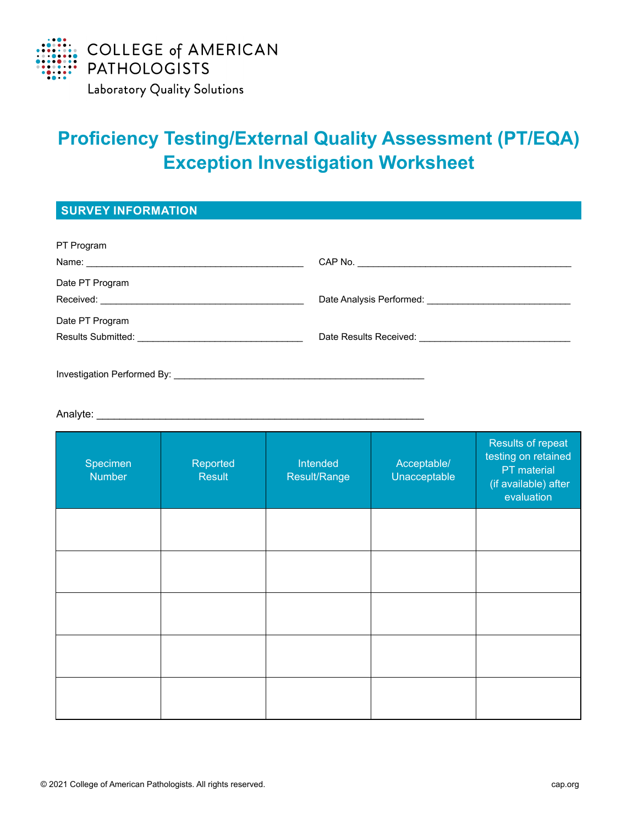

# **Proficiency Testing/External Quality Assessment (PT/EQA) Exception Investigation Worksheet**

**SURVEY INFORMATION**

| PT Program                  |  |
|-----------------------------|--|
|                             |  |
| Date PT Program             |  |
|                             |  |
| Date PT Program             |  |
|                             |  |
|                             |  |
| Investigation Performed By: |  |

#### Analyte: \_\_\_\_\_\_\_\_\_\_\_\_\_\_\_\_\_\_\_\_\_\_\_\_\_\_\_\_\_\_\_\_\_\_\_\_\_\_\_\_\_\_\_\_\_\_\_\_\_\_\_\_\_\_\_\_\_

| Specimen<br>Number | Reported<br><b>Result</b> | Intended<br>Result/Range | Acceptable/<br>Unacceptable | Results of repeat<br>testing on retained<br>PT material<br>(if available) after<br>evaluation |
|--------------------|---------------------------|--------------------------|-----------------------------|-----------------------------------------------------------------------------------------------|
|                    |                           |                          |                             |                                                                                               |
|                    |                           |                          |                             |                                                                                               |
|                    |                           |                          |                             |                                                                                               |
|                    |                           |                          |                             |                                                                                               |
|                    |                           |                          |                             |                                                                                               |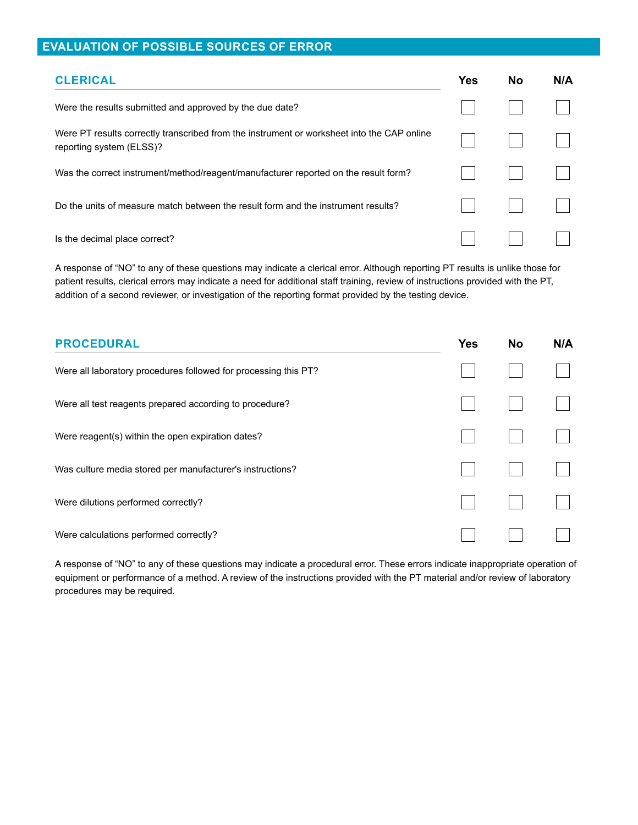### **EVALUATION OF POSSIBLE SOURCES OF ERROR**

| <b>CLERICAL</b>                                                                                                        | <b>Yes</b> | <b>No</b> | N/A |
|------------------------------------------------------------------------------------------------------------------------|------------|-----------|-----|
| Were the results submitted and approved by the due date?                                                               |            |           |     |
| Were PT results correctly transcribed from the instrument or worksheet into the CAP online<br>reporting system (ELSS)? |            |           |     |
| Was the correct instrument/method/reagent/manufacturer reported on the result form?                                    |            |           |     |
| Do the units of measure match between the result form and the instrument results?                                      |            |           |     |
| Is the decimal place correct?                                                                                          |            |           |     |

A response of "NO" to any of these questions may indicate a clerical error. Although reporting PT results is unlike those for patient results, clerical errors may indicate a need for additional staff training, review of instructions provided with the PT, addition of a second reviewer, or investigation of the reporting format provided by the testing device.

| <b>PROCEDURAL</b>                                               | <b>Yes</b> | <b>No</b> | N/A |
|-----------------------------------------------------------------|------------|-----------|-----|
| Were all laboratory procedures followed for processing this PT? |            |           |     |
| Were all test reagents prepared according to procedure?         |            |           |     |
| Were reagent(s) within the open expiration dates?               |            |           |     |
| Was culture media stored per manufacturer's instructions?       |            |           |     |
| Were dilutions performed correctly?                             |            |           |     |
| Were calculations performed correctly?                          |            |           |     |

A response of "NO" to any of these questions may indicate a procedural error. These errors indicate inappropriate operation of equipment or performance of a method. A review of the instructions provided with the PT material and/or review of laboratory procedures may be required.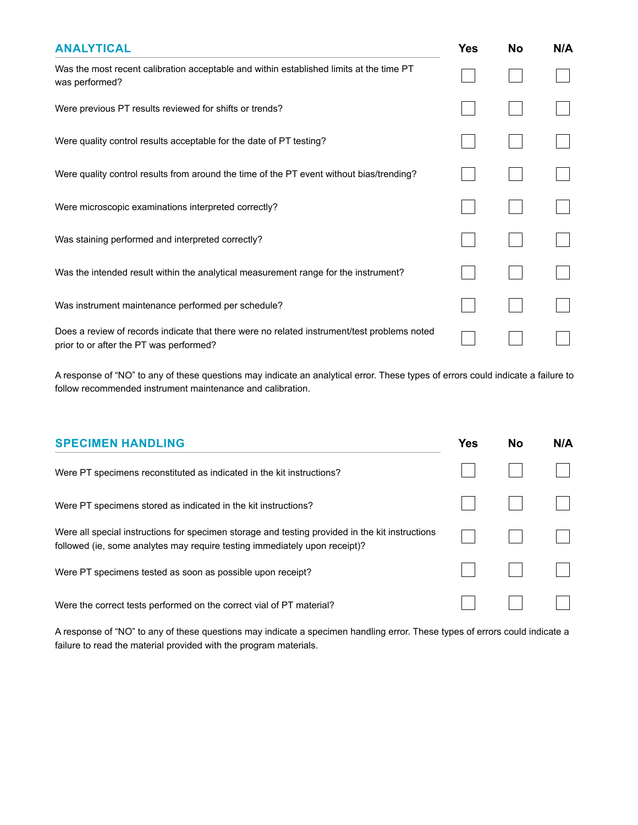| <b>ANALYTICAL</b>                                                                                                                      | <b>Yes</b> | <b>No</b> | N/A |
|----------------------------------------------------------------------------------------------------------------------------------------|------------|-----------|-----|
| Was the most recent calibration acceptable and within established limits at the time PT<br>was performed?                              |            |           |     |
| Were previous PT results reviewed for shifts or trends?                                                                                |            |           |     |
| Were quality control results acceptable for the date of PT testing?                                                                    |            |           |     |
| Were quality control results from around the time of the PT event without bias/trending?                                               |            |           |     |
| Were microscopic examinations interpreted correctly?                                                                                   |            |           |     |
| Was staining performed and interpreted correctly?                                                                                      |            |           |     |
| Was the intended result within the analytical measurement range for the instrument?                                                    |            |           |     |
| Was instrument maintenance performed per schedule?                                                                                     |            |           |     |
| Does a review of records indicate that there were no related instrument/test problems noted<br>prior to or after the PT was performed? |            |           |     |

A response of "NO" to any of these questions may indicate an analytical error. These types of errors could indicate a failure to follow recommended instrument maintenance and calibration.

| <b>SPECIMEN HANDLING</b>                                                                                                                                                      | Yes | <b>No</b> | N/A |
|-------------------------------------------------------------------------------------------------------------------------------------------------------------------------------|-----|-----------|-----|
| Were PT specimens reconstituted as indicated in the kit instructions?                                                                                                         |     |           |     |
| Were PT specimens stored as indicated in the kit instructions?                                                                                                                |     |           |     |
| Were all special instructions for specimen storage and testing provided in the kit instructions<br>followed (ie, some analytes may require testing immediately upon receipt)? |     |           |     |
| Were PT specimens tested as soon as possible upon receipt?                                                                                                                    |     |           |     |
| Were the correct tests performed on the correct vial of PT material?                                                                                                          |     |           |     |

A response of "NO" to any of these questions may indicate a specimen handling error. These types of errors could indicate a failure to read the material provided with the program materials.